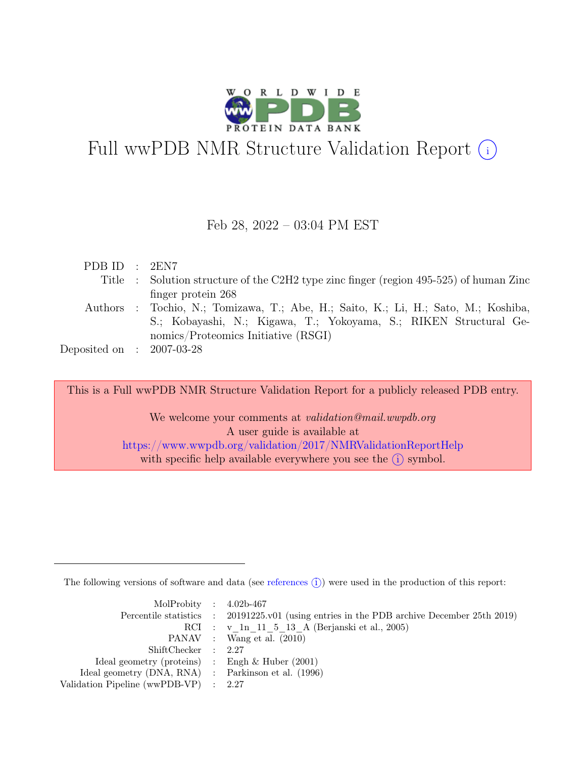

# Full wwPDB NMR Structure Validation Report (i)

## Feb 28, 2022 – 03:04 PM EST

| PDB ID : 2EN7               |                                                                                        |
|-----------------------------|----------------------------------------------------------------------------------------|
|                             | Title : Solution structure of the C2H2 type zinc finger (region 495-525) of human Zinc |
|                             | finger protein 268                                                                     |
|                             | Authors : Tochio, N.; Tomizawa, T.; Abe, H.; Saito, K.; Li, H.; Sato, M.; Koshiba,     |
|                             | S.; Kobayashi, N.; Kigawa, T.; Yokoyama, S.; RIKEN Structural Ge-                      |
|                             | nomics/Proteomics Initiative (RSGI)                                                    |
| Deposited on : $2007-03-28$ |                                                                                        |

This is a Full wwPDB NMR Structure Validation Report for a publicly released PDB entry.

We welcome your comments at *validation@mail.wwpdb.org* A user guide is available at <https://www.wwpdb.org/validation/2017/NMRValidationReportHelp> with specific help available everywhere you see the  $(i)$  symbol.

The following versions of software and data (see [references](https://www.wwpdb.org/validation/2017/NMRValidationReportHelp#references)  $\hat{I}$ ) were used in the production of this report:

| MolProbity : $4.02b-467$                            |                                                                                            |
|-----------------------------------------------------|--------------------------------------------------------------------------------------------|
|                                                     | Percentile statistics : 20191225.v01 (using entries in the PDB archive December 25th 2019) |
|                                                     | RCI : v 1n 11 5 13 A (Berjanski et al., 2005)                                              |
|                                                     | PANAV : Wang et al. (2010)                                                                 |
| ShiftChecker : 2.27                                 |                                                                                            |
| Ideal geometry (proteins) : Engh $\&$ Huber (2001)  |                                                                                            |
| Ideal geometry (DNA, RNA) : Parkinson et al. (1996) |                                                                                            |
| Validation Pipeline (wwPDB-VP) : $2.27$             |                                                                                            |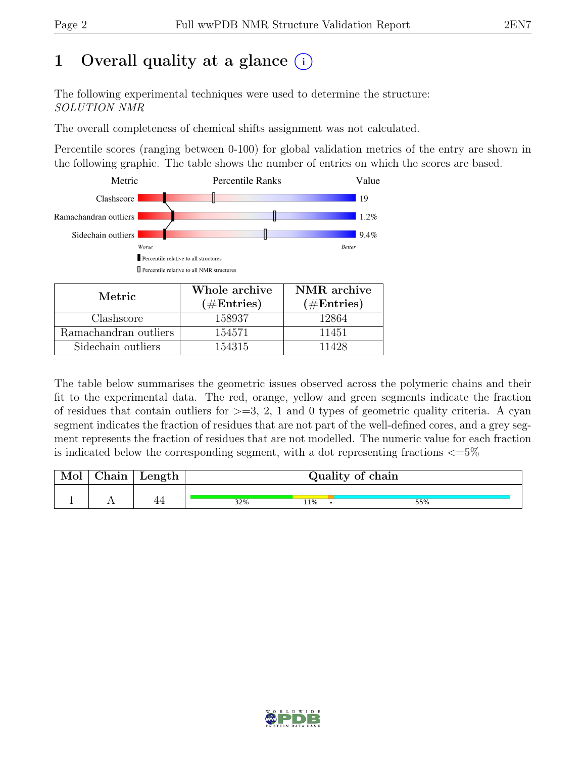# 1 Overall quality at a glance  $(i)$

The following experimental techniques were used to determine the structure: SOLUTION NMR

The overall completeness of chemical shifts assignment was not calculated.

Percentile scores (ranging between 0-100) for global validation metrics of the entry are shown in the following graphic. The table shows the number of entries on which the scores are based.



| Metric.               | Whole archive | NMR archive   |
|-----------------------|---------------|---------------|
|                       | $(\#Entries)$ | $(\#Entries)$ |
| Clashscore            | 158937        | 12864         |
| Ramachandran outliers | 154571        | 11451         |
| Sidechain outliers    | 154315        | 11428         |

The table below summarises the geometric issues observed across the polymeric chains and their fit to the experimental data. The red, orange, yellow and green segments indicate the fraction of residues that contain outliers for  $>=$  3, 2, 1 and 0 types of geometric quality criteria. A cyan segment indicates the fraction of residues that are not part of the well-defined cores, and a grey segment represents the fraction of residues that are not modelled. The numeric value for each fraction is indicated below the corresponding segment, with a dot representing fractions  $\langle=5\%$ 

| Mol | ${\rm Chain}$ | $\mathop{\rm Length}$ | Quality of chain |     |     |  |
|-----|---------------|-----------------------|------------------|-----|-----|--|
|     |               |                       | 32%              | 11% | 55% |  |

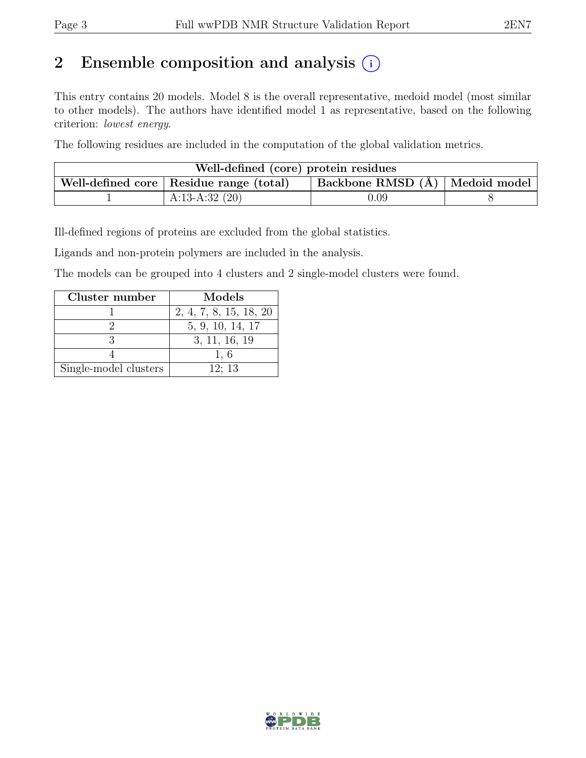# 2 Ensemble composition and analysis  $(i)$

This entry contains 20 models. Model 8 is the overall representative, medoid model (most similar to other models). The authors have identified model 1 as representative, based on the following criterion: lowest energy.

The following residues are included in the computation of the global validation metrics.

| Well-defined (core) protein residues                                                                   |                  |      |  |  |  |
|--------------------------------------------------------------------------------------------------------|------------------|------|--|--|--|
| $\vert$ Backbone RMSD $\overline{A}$ $\vert$ Medoid model<br>Well-defined core   Residue range (total) |                  |      |  |  |  |
|                                                                                                        | A:13-A:32 $(20)$ | 0.09 |  |  |  |

Ill-defined regions of proteins are excluded from the global statistics.

Ligands and non-protein polymers are included in the analysis.

The models can be grouped into 4 clusters and 2 single-model clusters were found.

| Cluster number        | Models                 |
|-----------------------|------------------------|
|                       | 2, 4, 7, 8, 15, 18, 20 |
|                       | 5, 9, 10, 14, 17       |
|                       | 3, 11, 16, 19          |
|                       | 1.6                    |
| Single-model clusters | 12:13                  |

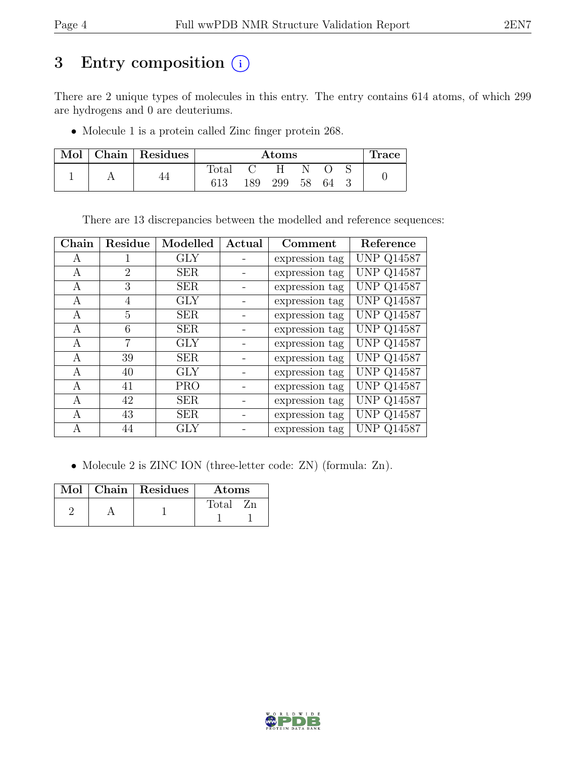# 3 Entry composition (i)

There are 2 unique types of molecules in this entry. The entry contains 614 atoms, of which 299 are hydrogens and 0 are deuteriums.

• Molecule 1 is a protein called Zinc finger protein 268.

| Mol | Chain Residues | <b>Atoms</b>   |     |     |    |     | <b>Trace</b> |  |
|-----|----------------|----------------|-----|-----|----|-----|--------------|--|
|     |                | $_{\rm Total}$ |     | н   |    |     |              |  |
|     |                | 613            | 189 | 299 | 58 | -64 |              |  |

There are 13 discrepancies between the modelled and reference sequences:

| Chain | Residue | Modelled   | Actual | Comment        | Reference         |
|-------|---------|------------|--------|----------------|-------------------|
| А     |         | <b>GLY</b> |        | expression tag | <b>UNP Q14587</b> |
| А     | 2       | <b>SER</b> |        | expression tag | <b>UNP Q14587</b> |
| A     | 3       | <b>SER</b> |        | expression tag | <b>UNP Q14587</b> |
| А     | 4       | GLY        |        | expression tag | <b>UNP Q14587</b> |
| A     | 5       | <b>SER</b> |        | expression tag | <b>UNP Q14587</b> |
| А     | 6       | <b>SER</b> |        | expression tag | <b>UNP Q14587</b> |
| A     | 7       | GLY        |        | expression tag | <b>UNP Q14587</b> |
| А     | 39      | <b>SER</b> |        | expression tag | <b>UNP Q14587</b> |
| А     | 40      | <b>GLY</b> |        | expression tag | <b>UNP Q14587</b> |
| A     | 41      | <b>PRO</b> |        | expression tag | <b>UNP Q14587</b> |
| А     | 42      | <b>SER</b> |        | expression tag | <b>UNP Q14587</b> |
| A     | 43      | <b>SER</b> |        | expression tag | <b>UNP Q14587</b> |
| A     | 44      | GLY        |        | expression tag | <b>UNP Q14587</b> |

• Molecule 2 is ZINC ION (three-letter code: ZN) (formula: Zn).

|  | Mol   Chain   Residues | Atoms       |
|--|------------------------|-------------|
|  |                        | Total<br>Zn |
|  |                        |             |

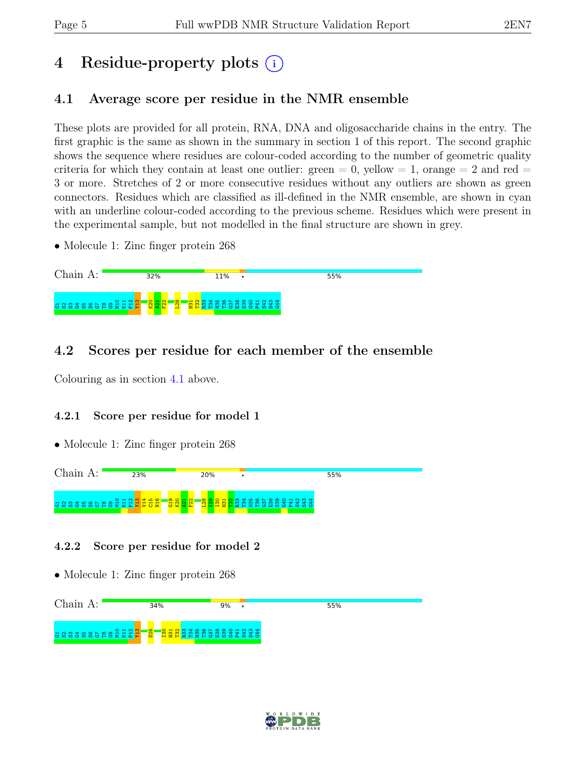# 4 Residue-property plots (i)

# <span id="page-4-0"></span>4.1 Average score per residue in the NMR ensemble

These plots are provided for all protein, RNA, DNA and oligosaccharide chains in the entry. The first graphic is the same as shown in the summary in section 1 of this report. The second graphic shows the sequence where residues are colour-coded according to the number of geometric quality criteria for which they contain at least one outlier:  $green = 0$ ,  $yellow = 1$ ,  $orange = 2$  and  $red =$ 3 or more. Stretches of 2 or more consecutive residues without any outliers are shown as green connectors. Residues which are classified as ill-defined in the NMR ensemble, are shown in cyan with an underline colour-coded according to the previous scheme. Residues which were present in the experimental sample, but not modelled in the final structure are shown in grey.

• Molecule 1: Zinc finger protein 268



# 4.2 Scores per residue for each member of the ensemble

Colouring as in section [4.1](#page-4-0) above.

### 4.2.1 Score per residue for model 1

• Molecule 1: Zinc finger protein 268



### 4.2.2 Score per residue for model 2

• Molecule 1: Zinc finger protein 268



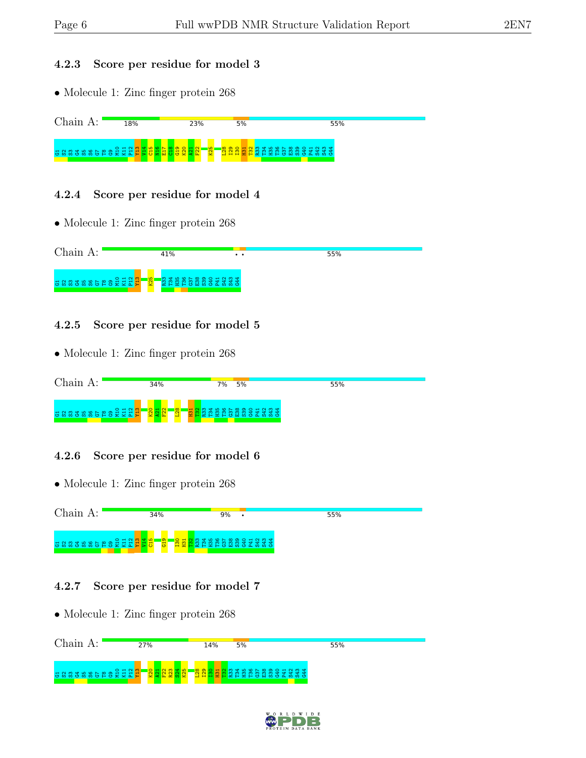#### 4.2.3 Score per residue for model 3

• Molecule 1: Zinc finger protein 268



### 4.2.4 Score per residue for model 4

• Molecule 1: Zinc finger protein 268



## 4.2.5 Score per residue for model 5

• Molecule 1: Zinc finger protein 268

| Chain A:                    | 34%                 | 5%<br>7%           | 55% |
|-----------------------------|---------------------|--------------------|-----|
| a s s a s s s e s a a a a a | $\frac{8}{28}$<br>÷ | <b>BERSSSSSSEE</b> |     |

## 4.2.6 Score per residue for model 6

• Molecule 1: Zinc finger protein 268



## 4.2.7 Score per residue for model 7

• Molecule 1: Zinc finger protein 268 Chain A: 27% 14%  $5%$ 55% e<br>Genedigae K11  $\frac{2}{2}$ Y13  $\frac{80}{20}$  $\frac{1}{2}$  $F_{22}$ R23  $\frac{34}{2}$ K25 L28 I29  $\frac{8}{1}$  $\frac{1}{2}$ <mark>ទ</mark>ន្ទី ដូចទី និងទី និង S42 S43 G44

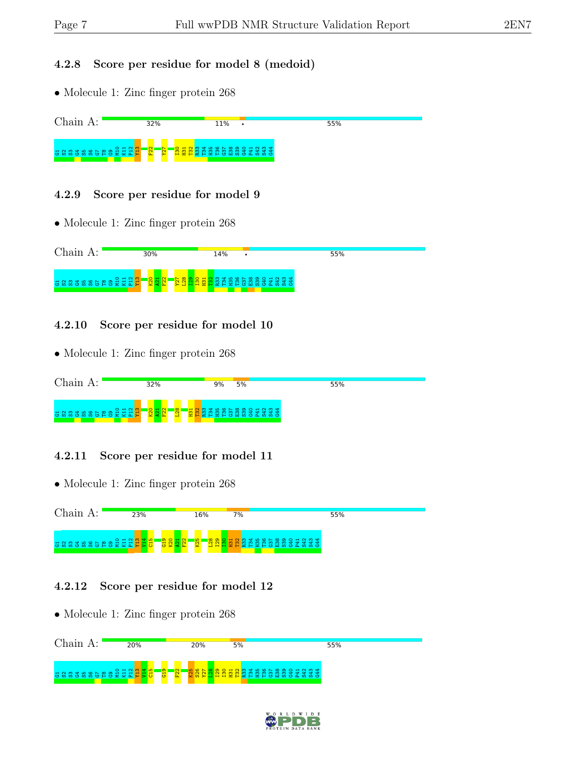#### 4.2.8 Score per residue for model 8 (medoid)

• Molecule 1: Zinc finger protein 268



### 4.2.9 Score per residue for model 9

• Molecule 1: Zinc finger protein 268



### 4.2.10 Score per residue for model 10

• Molecule 1: Zinc finger protein 268

| Chain A:                    | 32%                              | 9%<br>5% | 55% |
|-----------------------------|----------------------------------|----------|-----|
| a s s a s s s e s a a a a a | $\frac{8}{28}$<br>$\blacksquare$ |          |     |

## 4.2.11 Score per residue for model 11

• Molecule 1: Zinc finger protein 268



### 4.2.12 Score per residue for model 12

• Molecule 1: Zinc finger protein 268 Chain A: 20% 20%  $5%$  $55%$ e<br>Genedigae K11  $\frac{2}{2}$ Y13  $\frac{14}{14}$  $\frac{15}{21}$  $\frac{9}{13}$  $\frac{22}{2}$  $\frac{25}{25}$ S26 Y27 **B**<br>Bangaran Bangaran<br>Bangaran Bangaran

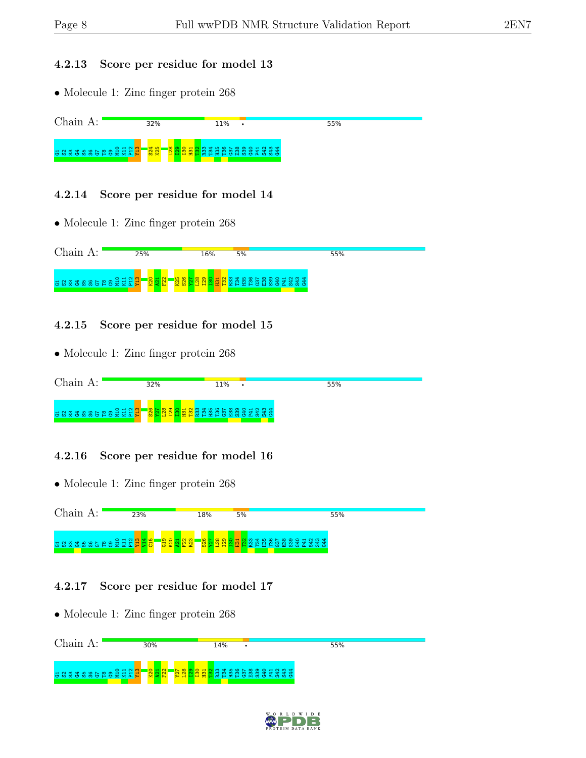#### 4.2.13 Score per residue for model 13

• Molecule 1: Zinc finger protein 268



### 4.2.14 Score per residue for model 14

• Molecule 1: Zinc finger protein 268



## 4.2.15 Score per residue for model 15

• Molecule 1: Zinc finger protein 268

| Chain<br>$A$ :              | 32% | 11%                                                            | 55% |
|-----------------------------|-----|----------------------------------------------------------------|-----|
| a s s a s s s a s a a a a a |     | <b>`` 8 5 8 9 9 9 9 9 9 9 9</b><br><b>WIHHHHHAHHHHUHWOAWWO</b> |     |

## 4.2.16 Score per residue for model 16

• Molecule 1: Zinc finger protein 268



## 4.2.17 Score per residue for model 17

• Molecule 1: Zinc finger protein 268 Chain A: 30% 14% 55%  $\bullet$ e<br>Genedigae K11  $\frac{2}{2}$ Y13  $\frac{80}{20}$  $\frac{1}{2}$  $\frac{22}{2}$ Y27  $\frac{128}{2}$  $\frac{1}{2}$  $\frac{8}{1}$  $\frac{1}{2}$ n Sanggan<br>Rasan Sanggan<br>Rasan Sanggan G44

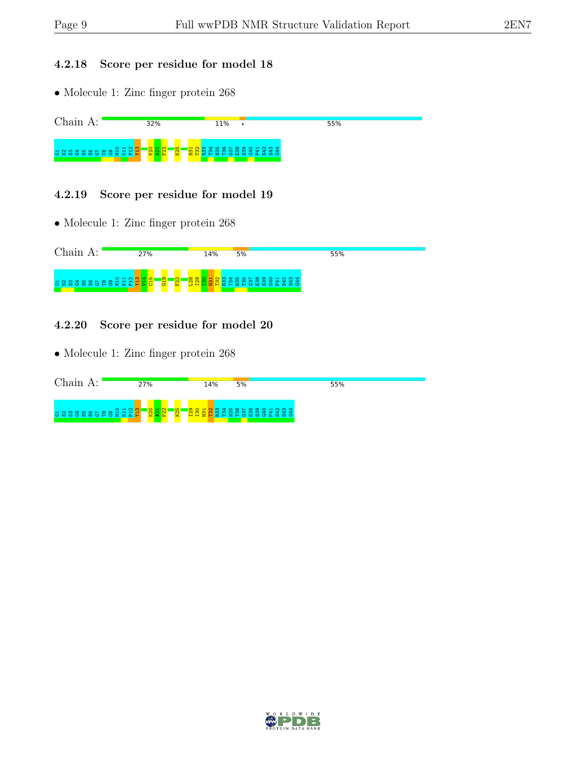### 4.2.18 Score per residue for model 18

• Molecule 1: Zinc finger protein 268



#### 4.2.19 Score per residue for model 19

• Molecule 1: Zinc finger protein 268



#### 4.2.20 Score per residue for model 20

• Molecule 1: Zinc finger protein 268

| Chain<br>д.                 | 27%                           | 14%       | 5% | 55% |  |
|-----------------------------|-------------------------------|-----------|----|-----|--|
| a s s a s s s s a a a a a a | $\frac{1}{25}$<br>1 <u>Q.</u> | ு<br>HHEF |    |     |  |

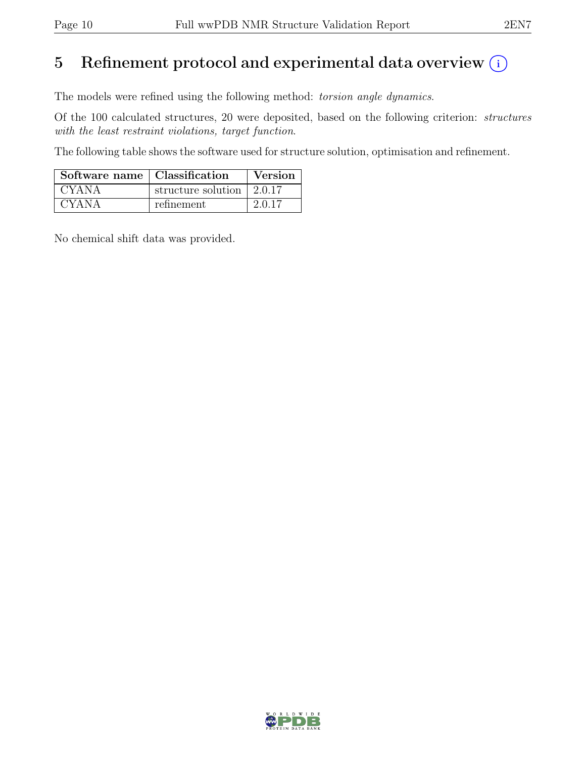# 5 Refinement protocol and experimental data overview  $(i)$

The models were refined using the following method: torsion angle dynamics.

Of the 100 calculated structures, 20 were deposited, based on the following criterion: structures with the least restraint violations, target function.

The following table shows the software used for structure solution, optimisation and refinement.

| Software name   Classification |                                         | Version |
|--------------------------------|-----------------------------------------|---------|
| <b>CYANA</b>                   | structure solution $\vert 2.0.17 \vert$ |         |
| <b>CYANA</b>                   | refinement                              | 2.0.17  |

No chemical shift data was provided.

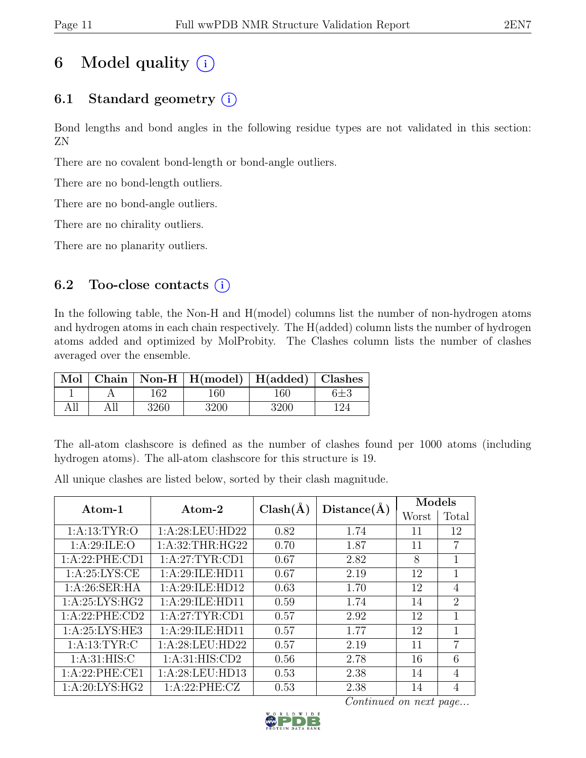# 6 Model quality  $(i)$

# 6.1 Standard geometry  $(i)$

Bond lengths and bond angles in the following residue types are not validated in this section: ZN

There are no covalent bond-length or bond-angle outliers.

There are no bond-length outliers.

There are no bond-angle outliers.

There are no chirality outliers.

There are no planarity outliers.

# 6.2 Too-close contacts  $(i)$

In the following table, the Non-H and H(model) columns list the number of non-hydrogen atoms and hydrogen atoms in each chain respectively. The H(added) column lists the number of hydrogen atoms added and optimized by MolProbity. The Clashes column lists the number of clashes averaged over the ensemble.

|     |      | Mol   Chain   Non-H   H(model)   H(added)   Clashes |      |         |
|-----|------|-----------------------------------------------------|------|---------|
|     | 162  | 160                                                 | 160  | $6\pm3$ |
| All | 3260 | 3200                                                | 3200 |         |

The all-atom clashscore is defined as the number of clashes found per 1000 atoms (including hydrogen atoms). The all-atom clashscore for this structure is 19.

 $\begin{array}{|c|c|c|c|}\hline \text{Atom-1} & \text{Atom-2} & \text{Class}(\text{\AA}) & \text{Distance}(\text{\AA}) & \text{Worst} & \text{Total}\ \hline \end{array}$ Worst 1:A:13:TYR:O | 1:A:28:LEU:HD22 | 0.82 | 1.74 | 11 | 12 1:A:29:ILE:O | 1:A:32:THR:HG22 | 0.70 | 1.87 | 11 | 7 1:A:22:PHE:CD1 | 1:A:27:TYR:CD1 | 0.67 | 2.82 | 8 | 1 1:A:25:LYS:CE 1:A:29:ILE:HD11 0.67 2.19 12 1 1:A:26:SER:HA 1:A:29:ILE:HD12 0.63 1.70 12 4 1:A:25:LYS:HG2 | 1:A:29:ILE:HD11 | 0.59 | 1.74 | 14 | 2 1:A:22:PHE:CD2 1:A:27:TYR:CD1 0.57 2.92 12 1 1:A:25:LYS:HE3 1:A:29:ILE:HD11 0.57 1.77 12 1 1:A:13:TYR:C 1:A:28:LEU:HD22 0.57 2.19 11 7 1:A:31:HIS:C | 1:A:31:HIS:CD2 | 0.56 | 2.78 | 16 | 6 1:A:22:PHE:CE1 | 1:A:28:LEU:HD13 | 0.53 | 2.38 | 14 | 4 1:A:20:LYS:HG2 | 1:A:22:PHE:CZ | 0.53 | 2.38 | 14 | 4

All unique clashes are listed below, sorted by their clash magnitude.

Continued on next page...

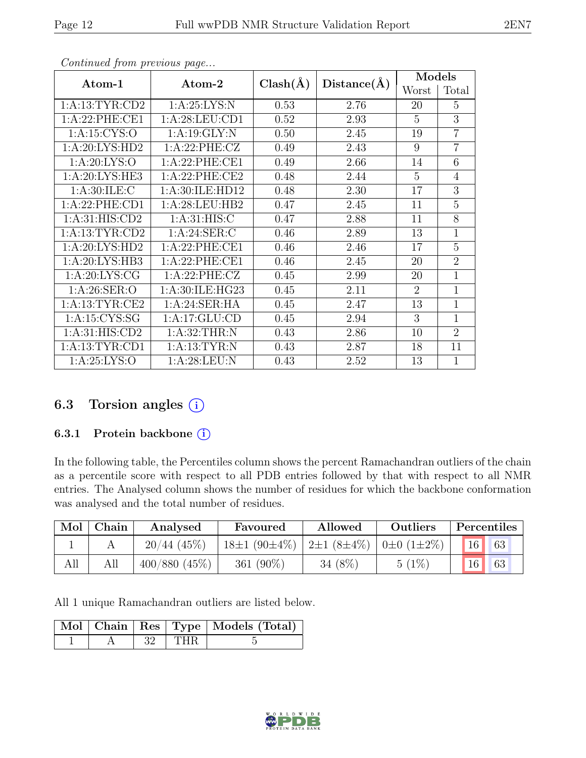| Atom-1             | Atom-2           | $Clash(\AA)$ | Distance(A) | Models         |                |
|--------------------|------------------|--------------|-------------|----------------|----------------|
|                    |                  |              |             | Worst          | Total          |
| 1: A: 13: TYR: CD2 | 1: A:25: LYS:N   | 0.53         | 2.76        | 20             | 5              |
| 1:A:22:PHE:CE1     | 1: A:28:LEU:CD1  | 0.52         | 2.93        | 5              | 3              |
| 1: A: 15: CYS:O    | 1:A:19:GLY:N     | 0.50         | 2.45        | 19             | $\overline{7}$ |
| 1: A:20: LYS: HD2  | 1: A:22:PHE:CZ   | 0.49         | 2.43        | 9              | $\overline{7}$ |
| 1: A:20: LYS:O     | 1:A:22:PHE:CE1   | 0.49         | 2.66        | 14             | 6              |
| 1: A:20: LYS: HE3  | 1:A:22:PHE:CE2   | 0.48         | 2.44        | 5              | $\overline{4}$ |
| 1: A:30: ILE: C    | 1:A:30:ILE:HD12  | 0.48         | 2.30        | 17             | 3              |
| 1:A:22:PHE:CD1     | 1:A:28:LEU:HB2   | 0.47         | 2.45        | 11             | 5              |
| 1: A:31: HIS: CD2  | 1: A:31: HIS: C  | 0.47         | 2.88        | 11             | 8              |
| 1: A: 13: TYR: CD2 | 1: A:24: SER: C  | 0.46         | 2.89        | 13             | 1              |
| 1: A:20: LYS: HD2  | 1:A:22:PHE:CE1   | 0.46         | 2.46        | 17             | 5              |
| 1: A:20: LYS:HB3   | 1:A:22:PHE:CE1   | 0.46         | 2.45        | 20             | $\overline{2}$ |
| 1: A:20: LYS: CG   | 1:A:22:PHE:CZ    | 0.45         | 2.99        | 20             | 1              |
| 1: A:26: SER:O     | 1:A:30:ILE:HG23  | 0.45         | 2.11        | $\overline{2}$ | 1              |
| 1: A: 13: TYR: CE2 | 1: A:24:SER:HA   | 0.45         | 2.47        | 13             | 1              |
| 1: A:15: CYS:SG    | 1:A:17:GLU:CD    | 0.45         | 2.94        | 3              | 1              |
| 1: A:31: HIS: CD2  | 1: A:32:THR:N    | 0.43         | 2.86        | 10             | $\overline{2}$ |
| 1: A: 13: TYR: CD1 | 1: A: 13: TYR: N | 0.43         | 2.87        | 18             | 11             |
| 1:A:25:LYS:O       | 1: A:28:LEU: N   | 0.43         | 2.52        | 13             | 1              |

Continued from previous page...

# 6.3 Torsion angles  $(i)$

### 6.3.1 Protein backbone  $(i)$

In the following table, the Percentiles column shows the percent Ramachandran outliers of the chain as a percentile score with respect to all PDB entries followed by that with respect to all NMR entries. The Analysed column shows the number of residues for which the backbone conformation was analysed and the total number of residues.

| Mol | Chain | Analysed      | Favoured           | Allowed                                | Outliers | Percentiles |
|-----|-------|---------------|--------------------|----------------------------------------|----------|-------------|
|     |       | $20/44$ (45%) | $18\pm1(90\pm4\%)$ | $ 2\pm 1 (8\pm 4\%) 0\pm 0 (1\pm 2\%)$ |          | 16<br>63    |
| All | All   | 400/880(45%)  | 361 $(90\%)$       | 34 $(8\%)$                             | 5(1%     | 63<br>16    |

All 1 unique Ramachandran outliers are listed below.

|  |     |              | Mol   Chain   Res   Type   Models (Total) |
|--|-----|--------------|-------------------------------------------|
|  | -32 | $\perp$ THR. |                                           |

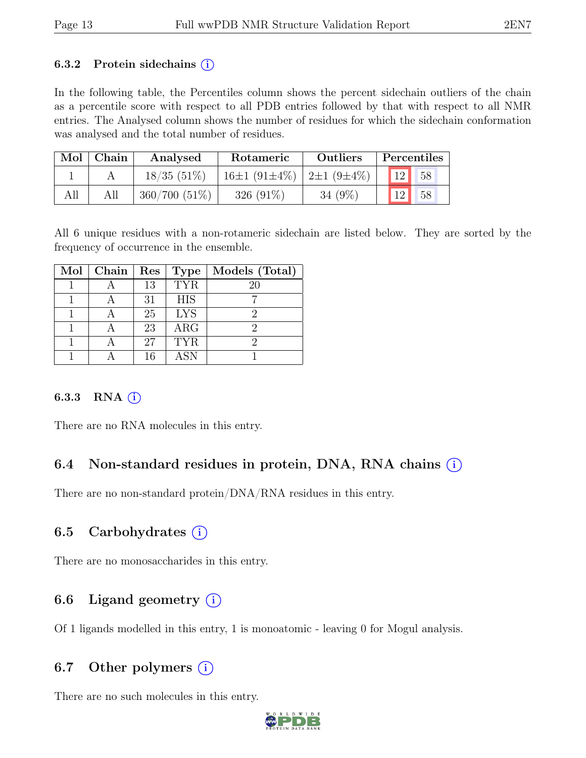#### 6.3.2 Protein sidechains  $(i)$

In the following table, the Percentiles column shows the percent sidechain outliers of the chain as a percentile score with respect to all PDB entries followed by that with respect to all NMR entries. The Analysed column shows the number of residues for which the sidechain conformation was analysed and the total number of residues.

|     | $Mol$   Chain | Analysed        | Rotameric                           | <b>Outliers</b> | Percentiles              |
|-----|---------------|-----------------|-------------------------------------|-----------------|--------------------------|
|     |               | $18/35(51\%)$   | $16\pm1(91\pm4\%)$ $2\pm1(9\pm4\%)$ |                 | $\vert$ 12 $\vert$<br>58 |
| All | All           | $360/700(51\%)$ | $326(91\%)$                         | 34 $(9\%)$      | 12 <br>58                |

All 6 unique residues with a non-rotameric sidechain are listed below. They are sorted by the frequency of occurrence in the ensemble.

| Mol | Chain | Res | Type       | Models (Total) |
|-----|-------|-----|------------|----------------|
|     |       | 13  | <b>TYR</b> | 20             |
|     |       | 31  | <b>HIS</b> |                |
|     |       | 25  | <b>LYS</b> |                |
|     |       | 23  | ARG        | 2              |
|     |       | 27  | <b>TYR</b> |                |
|     |       | 16  | ASN        |                |

### 6.3.3 RNA $(i)$

There are no RNA molecules in this entry.

# 6.4 Non-standard residues in protein, DNA, RNA chains (i)

There are no non-standard protein/DNA/RNA residues in this entry.

## 6.5 Carbohydrates  $(i)$

There are no monosaccharides in this entry.

# 6.6 Ligand geometry  $(i)$

Of 1 ligands modelled in this entry, 1 is monoatomic - leaving 0 for Mogul analysis.

# 6.7 Other polymers  $(i)$

There are no such molecules in this entry.

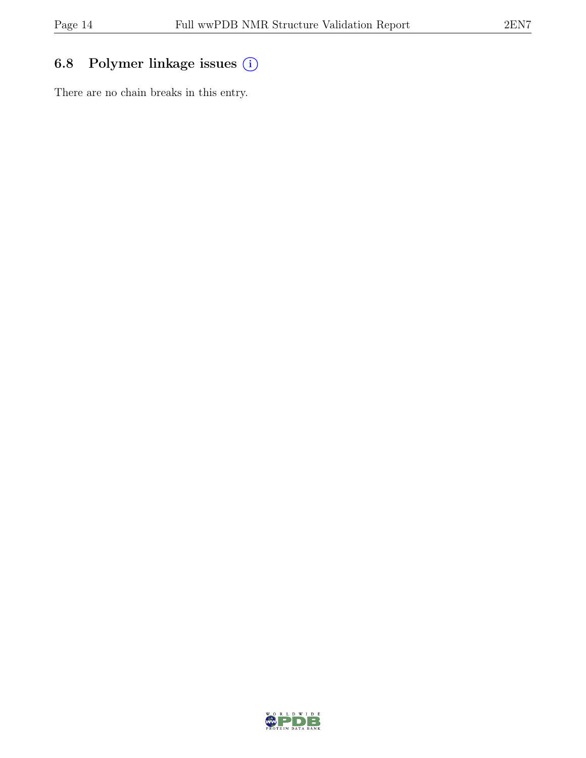# 6.8 Polymer linkage issues (i)

There are no chain breaks in this entry.